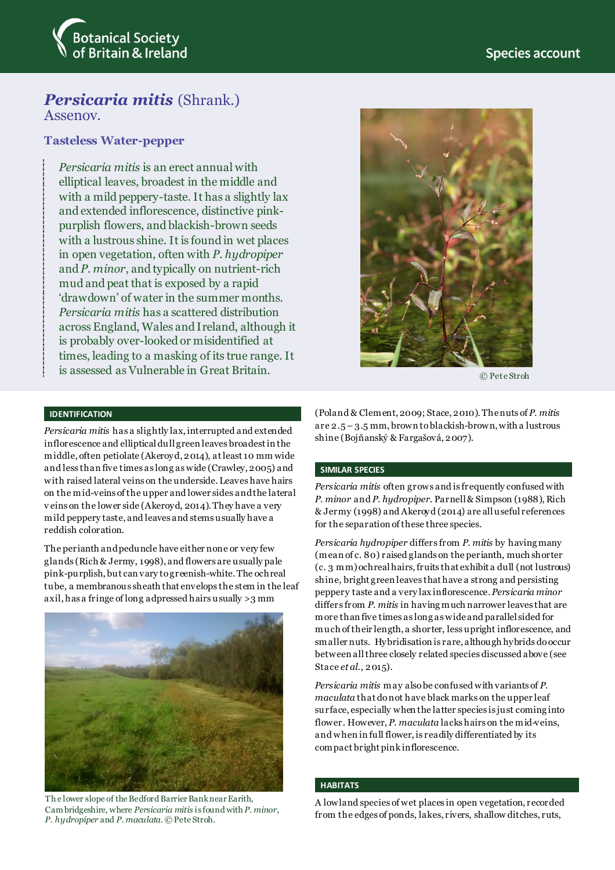

# *Persicaria mitis* (Shrank.) Assenov.

# **Tasteless Water-pepper**

*Persicaria mitis* is an erect annual with elliptical leaves, broadest in the middle and with a mild peppery-taste. It has a slightly lax and extended inflorescence, distinctive pinkpurplish flowers, and blackish-brown seeds with a lustrous shine. It is found in wet places in open vegetation, often with *P. hydropiper* and *P. minor*, and typically on nutrient-rich mud and peat that is exposed by a rapid 'drawdown' of water in the summer months. *Persicaria mitis* has a scattered distribution across England, Wales and Ireland, although it is probably over-looked or misidentified at times, leading to a masking of its true range. It is assessed as Vulnerable in Great Britain.



© Pete Stroh

# **IDENTIFICATION**

*Persicaria mitis* has a slightly lax, interrupted and extended inflorescence and ellipticaldull green leaves broadest in the middle, often petiolate (Akeroyd, 2014), at least 10 mm wide and less than five times as long as wide (Crawley, 2005) and with raised lateral veins on the underside. Leaves have hairs on the mid-veins of the upper and lower sides andthe lateral v eins on the lower side (Akeroyd, 2014). They have a very mild peppery taste, and leaves and stems usually have a reddish coloration.

The perianth and peduncle have either none or very few glands (Rich & Jermy, 1998), and flowers are usually pale pink-purplish, but can vary to greenish-white. The ochreal tube, a membranous sheath that envelops the stem in the leaf axil, has a fringe of long adpressed hairs usually >3 mm



Th e lower slope of the Bedford Barrier Bank near Earith, Cambridgeshire, where *Persicaria mitis* is found with *P. minor*, *P. hydropiper* and *P. maculata*. © Pete Stroh.

(Poland & Clement, 2009; Stace, 2010). The nuts of *P. mitis* are 2.5 – 3.5 mm, brown to blackish-brown, with a lustrous shine (Bojňanský & Fargašová, 2007).

# **SIMILAR SPECIES**

*Persicaria mitis* often grows and is frequently confused with *P. minor* and *P. hydropiper*. Parnell & Simpson (1988), Rich & Jermy (1998) and Akeroyd (2014) are all useful references for the separation of these three species.

*Persicaria hydropiper* differs from *P. mitis* by having many (mean of c. 80) raised glands on the perianth, much shorter (c. 3 mm) ochreal hairs, fruits that exhibit a dull (not lustrous) shine, bright green leaves that have a strong and persisting peppery taste and a very lax inflorescence. *Persicaria minor* differs from *P. mitis* in having much narrower leaves that are more than five times as long as wideand parallel sided for much of their length, a shorter, less upright inflorescence, and smaller nuts. Hybridisation is rare, although hybrids do occur between all three closely related species discussed above (see Stace *et al*., 2015).

*Persicaria mitis* may also be confused with variants of *P. maculata* that do not have black marks on the upper leaf surface, especially when the latter species is just coming into flower. However, *P. maculata* lacks hairs on the mid-veins, and when in full flower, is readily differentiated by its compact bright pink inflorescence.

#### **HABITATS**

A lowland species of wet places in open vegetation, recorded from the edges of ponds, lakes, rivers, shallow ditches, ruts,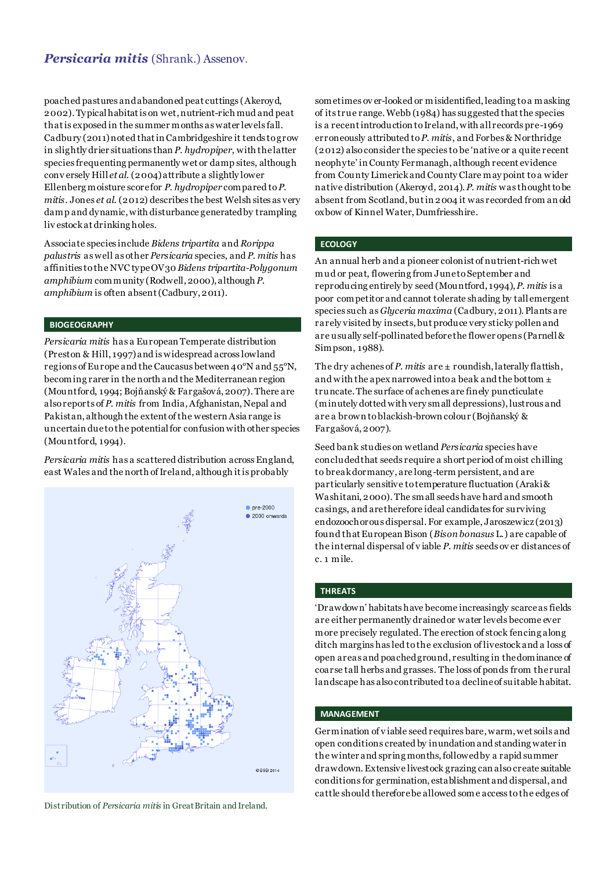# *Persicaria mitis* (Shrank.) Assenov.

poached pastures and abandoned peat cuttings (Akeroyd, 2002). Typical habitat is on wet, nutrient-rich mud and peat that is exposed in the summer months as water levels fall. Cadbury (2011) noted that in Cambridgeshire it tends to grow in slightly drier situations than *P. hydropiper*, with the latter species frequenting permanently wet or damp sites, although conv ersely Hill *et al*. (2004) attribute a slightly lower Ellenberg moisture score for *P. hydropiper* compared to *P. mitis*. Jones *et al*. (2012) describes the best Welsh sites as very damp and dynamic, with disturbance generated by trampling liv estock at drinking holes.

Associate species include *Bidens tripartita* and *Rorippa palustris* as well as other *Persicaria* species, and *P. mitis* has affinities to the NVC type OV30 *Bidens tripartita-Polygonum amphibium* community (Rodwell, 2000), although *P. amphibium* is often absent (Cadbury, 2011).

### **BIOGEOGRAPHY**

*Persicaria mitis* has a European Temperate distribution (Preston & Hill, 1997) and is widespread across lowland regions of Europe and the Caucasus between 40°N and 55°N, becoming rarer in the north and the Mediterranean region (Mountford, 1994; Bojňanský & Fargašová, 2007). There are also reports of *P. mitis* from India, Afghanistan, Nepal and Pakistan, although the extent of the western Asia range is uncertain due to the potential for confusion with other species (Mountford, 1994).

*Persicaria mitis* has a scattered distribution across England, east Wales and the north of Ireland, although it is probably



Distribution of *Persicaria mitis* in Great Britain and Ireland.

sometimes ov er-looked or misidentified, leading to a masking of its true range. Webb (1984) has suggested that the species is a recent introduction to Ireland, with all records pre-1969 erroneously attributed to *P. mitis*, and Forbes & Northridge (2012) also consider the species to be 'native or a quite recent neophyte' in County Fermanagh, although recent evidence from County Limerick and County Clare may point to a wider native distribution (Akeroyd, 2014).*P. mitis* was thought to be absent from Scotland, but in 2004 it was recorded from an old oxbow of Kinnel Water, Dumfriesshire.

# **ECOLOGY**

An annual herb and a pioneer colonist of nutrient-rich wet mud or peat, flowering from June to September and reproducing entirely by seed (Mountford, 1994), *P*. *mitis* is a poor competitor and cannot tolerate shading by tall emergent species such as *Glyceria maxima* (Cadbury, 2011). Plants are rarely visited by insects, but produce very sticky pollen and are usually self-pollinated before the flower opens (Parnell & Simpson, 1988).

The dry achenes of *P. mitis* are ± roundish, laterally flattish, and with the apex narrowed into a beak and the bottom ± truncate. The surface of achenes are finely puncticulate (minutely dotted with very small depressions), lustrous and are a brown to blackish-brown colour (Bojňanský & Fargašová, 2007).

Seed bank studies on wetland *Persicaria* species have concluded that seeds require a short period of moist chilling to break dormancy, are long-term persistent, and are particularly sensitive totemperature fluctuation (Araki & Washitani, 2000).The small seeds have hard and smooth casings, and are therefore ideal candidates for surviving endozoochorous dispersal. For example, Jaroszewicz (2013) found that European Bison (*Bison bonasus* L.) are capable of the internal dispersal of v iable *P. mitis* seeds ov er distances of c. 1 mile.

#### **THREATS**

'Drawdown' habitats have become increasingly scarce as fields are either permanently drained or water levels become ever more precisely regulated. The erection of stock fencing along ditch margins has led to the exclusion of livestock and a loss of open areas and poached ground, resulting in the dominance of coarse tall herbs and grasses. The loss of ponds from therural landscape has also contributed to a declineof suitable habitat.

## **MANAGEMENT**

Germination of v iable seed requires bare, warm, wet soils and open conditions created by inundation and standing water in the winter and spring months, followed by a rapid summer drawdown.Extensive livestock grazing can also create suitable conditions for germination, establishment and dispersal, and cattle should therefore be allowed some access to the edges of